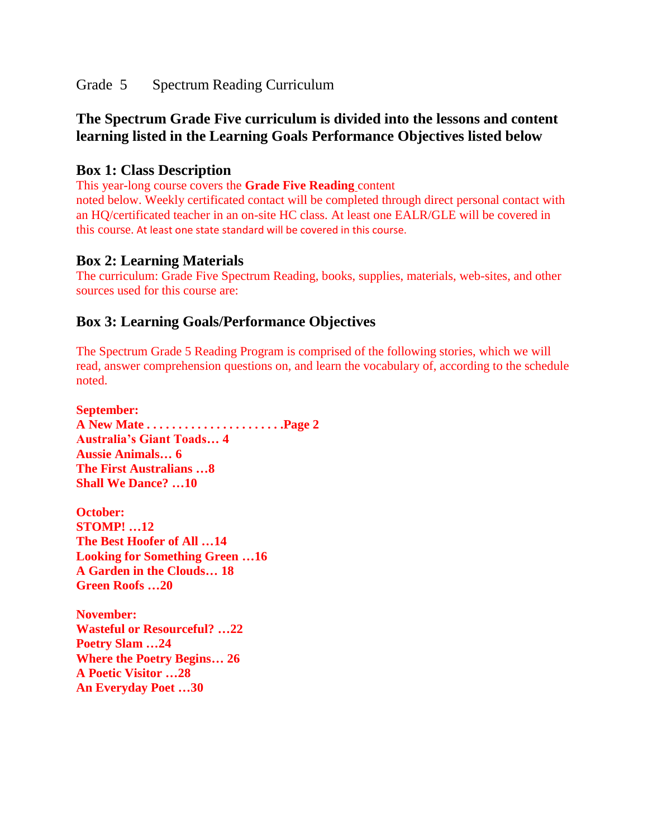Grade 5 Spectrum Reading Curriculum

# **The Spectrum Grade Five curriculum is divided into the lessons and content learning listed in the Learning Goals Performance Objectives listed below**

## **Box 1: Class Description**

This year-long course covers the **Grade Five Reading** content

noted below. Weekly certificated contact will be completed through direct personal contact with an HQ/certificated teacher in an on-site HC class. At least one EALR/GLE will be covered in this course. At least one state standard will be covered in this course.

### **Box 2: Learning Materials**

The curriculum: Grade Five Spectrum Reading, books, supplies, materials, web-sites, and other sources used for this course are:

## **Box 3: Learning Goals/Performance Objectives**

The Spectrum Grade 5 Reading Program is comprised of the following stories, which we will read, answer comprehension questions on, and learn the vocabulary of, according to the schedule noted.

**September: A New Mate . . . . . . . . . . . . . . . . . . . . . .Page 2 Australia's Giant Toads… 4 Aussie Animals… 6 The First Australians …8 Shall We Dance? …10 October: STOMP! …12 The Best Hoofer of All …14 Looking for Something Green …16 A Garden in the Clouds… 18 Green Roofs …20 November:**

**Wasteful or Resourceful? …22 Poetry Slam …24 Where the Poetry Begins… 26 A Poetic Visitor …28 An Everyday Poet …30**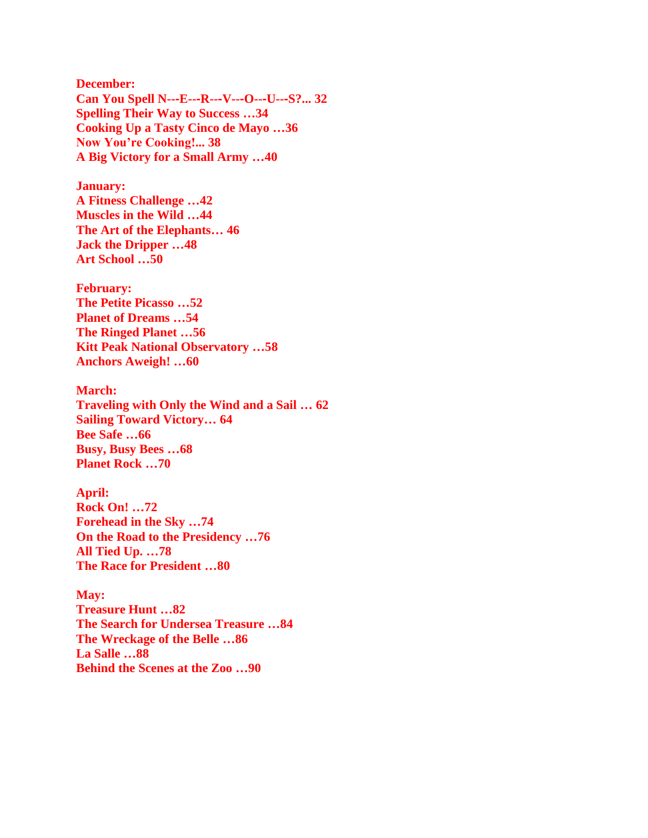**December: Can You Spell N--**‐**E--**‐**R--**‐**V--**‐**O--**‐**U--**‐**S?... 32 Spelling Their Way to Success …34 Cooking Up a Tasty Cinco de Mayo …36 Now You're Cooking!... 38 A Big Victory for a Small Army …40**

**January: A Fitness Challenge …42 Muscles in the Wild …44 The Art of the Elephants… 46 Jack the Dripper …48 Art School …50**

**February: The Petite Picasso …52 Planet of Dreams …54 The Ringed Planet …56 Kitt Peak National Observatory …58 Anchors Aweigh! …60**

**March: Traveling with Only the Wind and a Sail … 62 Sailing Toward Victory… 64 Bee Safe …66 Busy, Busy Bees …68 Planet Rock …70**

**April: Rock On! …72 Forehead in the Sky …74 On the Road to the Presidency …76 All Tied Up. …78 The Race for President …80**

**May: Treasure Hunt …82 The Search for Undersea Treasure …84 The Wreckage of the Belle …86 La Salle …88 Behind the Scenes at the Zoo …90**